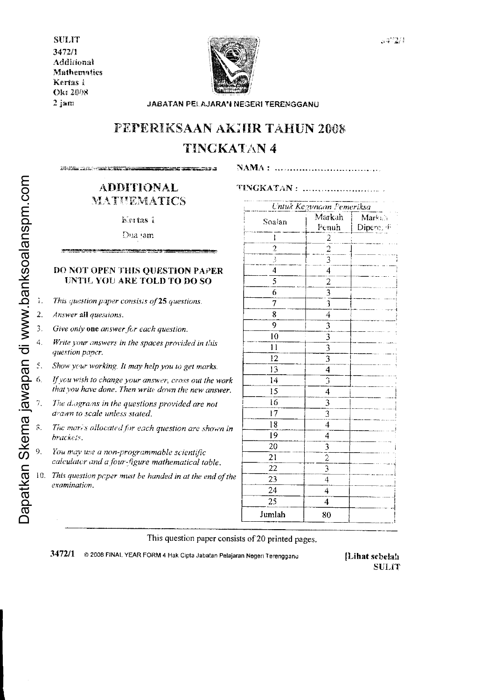**SULIT** 3472/1 Additional **Mathematics** Kertas i Okt 2008  $2$  jam



JABATAN PELAJARAN NEGERI TERENGGANU

# PEPERIKSAAN AKHIR TAHUN 2008 **TINGKATAN 4**

**ANY CREATED AND SALE IN THE CALL TRIBAN CONTRACTOR** and the second control of the second control of the second control of the second control of the second control of the second control of the second control of the second control of the second control of the second control o TINGKATAN: .............................

**ADDITIONAL** MATUEMATICS

Kertas i

Dua jam

## DO NOT OPEN THIS OUESTION PAPER UNTIL YOU ARE TOLD TO DO SO

- This question paper consists of 25 questions.
- 2. Answer all questions.
- $\overline{3}$ . Give only one answer for each question.
- 4. Write your answers in the spaces provided in this question paper.
- Show your working. It may help you to get marks.
- If you wish to change your answer, cross out the work that you have done. Then write down the new answer.
- The diagrams in the questions provided are not drawn to scale unless stated.
- The marks allocated for each question are shown in brackets.
- You may use a non-programmable scientific calculator and a four-figure mathematical table.
- $0.$  This question paper must be handed in at the end of the examination.

|                | Untuk Kegunaan Pemeriksa    |            |  |
|----------------|-----------------------------|------------|--|
| Soalan         | Markah                      | Markah     |  |
|                | Penuh                       | Diperc. 45 |  |
| Ì              |                             |            |  |
| $\overline{c}$ |                             |            |  |
| ڋ              | 3                           |            |  |
| 4              | $\overline{\mathbf{4}}$     |            |  |
| 5              |                             |            |  |
| 6              | $\frac{2}{3}$               |            |  |
| 7              | $\bar{3}$                   |            |  |
| 8              | 4                           |            |  |
| 9              | $\overline{3}$              |            |  |
| 10             | $\overline{3}$              |            |  |
| 11             | $\overline{3}$              |            |  |
| 12             | $\overline{3}$              |            |  |
| 13             | $\overline{\mathbf{4}}$     |            |  |
| 14             | $\overline{\mathbb{3}}$     |            |  |
| 15             | $\overline{\mathcal{A}}$    |            |  |
| i6             | 3                           |            |  |
| 17             | $\overline{3}$              |            |  |
| 18             | $\overline{4}$              |            |  |
| 19             | 4                           |            |  |
| 20             |                             |            |  |
| 21             |                             |            |  |
| 22             |                             |            |  |
| 23             | $\frac{3}{2}$ $\frac{2}{4}$ |            |  |
| 24             | 4                           |            |  |
| 25             | 4                           |            |  |
| Jumlah         | 80                          |            |  |

This question paper consists of 20 printed pages.

3472/1 © 2008 FINAL YEAR FORM 4 Hak Cipta Jabatan Pelajaran Negeri Terengganu

[Lihat sebelah **SULIT**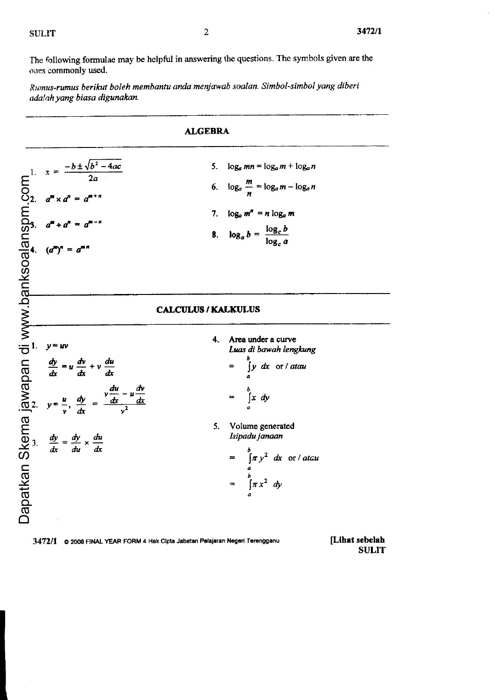The following formulae may be helpful in answering the questions. The symbols given are the ones commonly used.

Rllmus-rwnus berikut boleh membantu anda menjawab soalun. Simbol-simbol yang diberi adalah yang biasa digunakan.

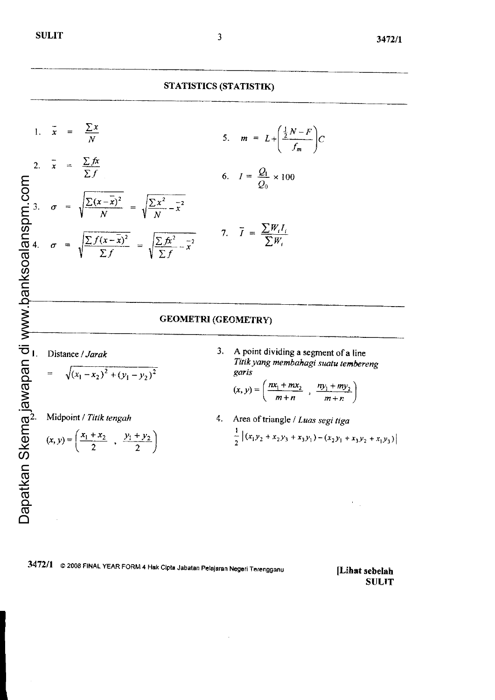## STATISTICS (STATISTIK)



# **GEOMETRI (GEOMETRY)**

Distance / Jarak

$$
= \sqrt{(x_1 - x_2)^2 + (y_1 - y_2)^2}
$$

Midpoint / Titik tengah

$$
(x, y) = \left(\frac{x_1 + x_2}{2}, \frac{y_1 + y_2}{2}\right)
$$

A point dividing a segment of a line  $3.$ Titik yang membahagi suatu tembereng garis

$$
(x, y) = \left(\frac{nx_1 + mx_2}{m+n} , \frac{ny_1 + my_2}{m+n}\right)
$$

4. Area of triangle / Luas segi tiga  $\frac{1}{2} | (x_1y_2 + x_2y_3 + x_3y_1) - (x_2y_1 + x_3y_2 + x_1y_3) |$ 

3472/1 © 2008 FINAL YEAR FORM 4 Hak Cipta Jabatan Pelajaran Negeri Terengganu

[Lihat sebelah **SULIT**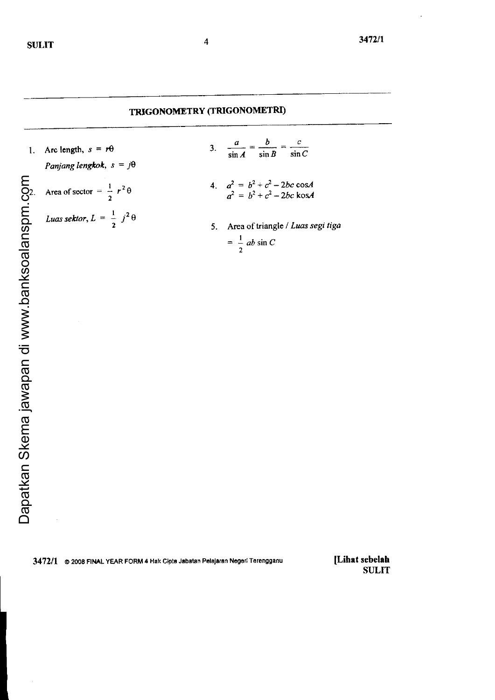# TRIGONOMETRY (TRIGONOMETRI)

Arc length,  $s = r\theta$  $1.$ 

Panjang lengkok,  $s = j\theta$ 

- Area of sector =  $\frac{1}{2} r^2 \theta$
- Luas sektor,  $L = \frac{1}{2} j^2 \theta$
- $\frac{a}{\sin A} = \frac{b}{\sin B} = \frac{c}{\sin C}$  $\overline{\mathbf{3}}$ .
- 4.  $a^2 = b^2 + c^2 2bc \cos A$ <br>  $a^2 = b^2 + c^2 2bc \cos A$
- 5. Area of triangle / Luas segi tiga  $=\frac{1}{2}$  ab sin C

3472/1 @ 2008 FINAL YEAR FORM 4 Hak Cipta Jabatan Pelajaran Negeri Terengganu

[Lihat sebelah **SULIT**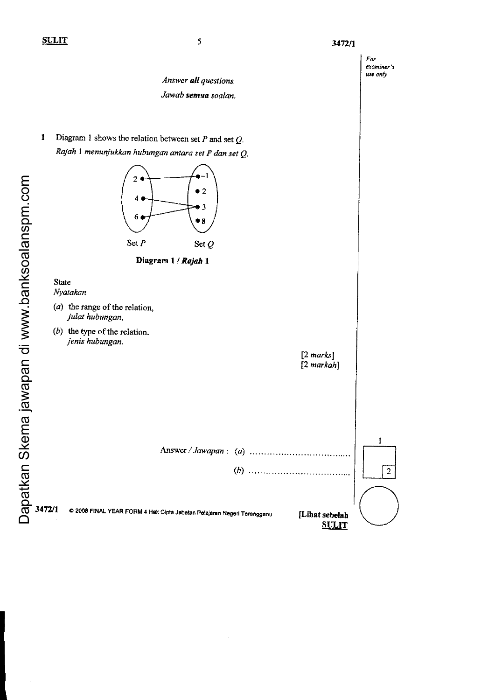$\mathbf{1}$ 

# $For$ examiner's use only Answer alt questions, Jawab semua soalan. Diagram 1 shows the relation between set  $P$  and set  $Q$ . Rajah 1 menunjukkan hubungan antara set P dan set  $Q$ .  $\overline{2}$  $\bullet$  2 4  $\bullet$  3 6  $•8$ Set  $P$  Set  $Q$ Diagram 1 / Rajah 1 State Nyatakan ( $a$ ) the range of the relation, julat hubungan, (b) the type of the relation. jenis hubungan.  $[2 marks]$ [2 markah] t Aaswer /Jawapan: (a)  $\vert$   $\vert$ (D)  $\overline{2}$ 3472/1 c 2008 FINAL YEAR FORM 4 Hak Cipta Jabatan Pelajaran Negeri Terengganu  $($ [Lihat sebelah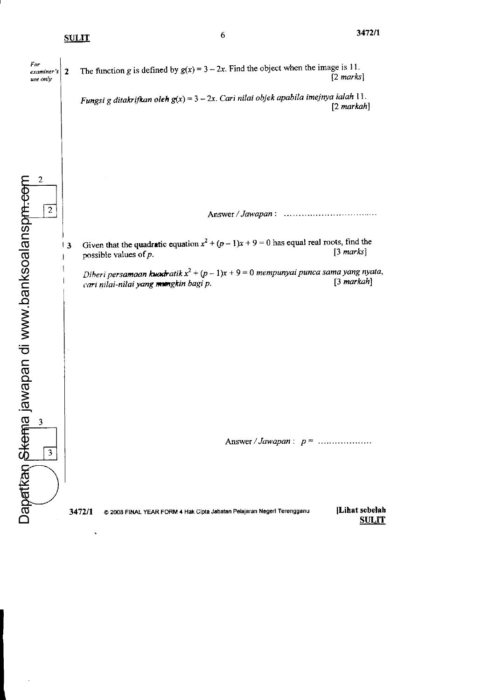|'

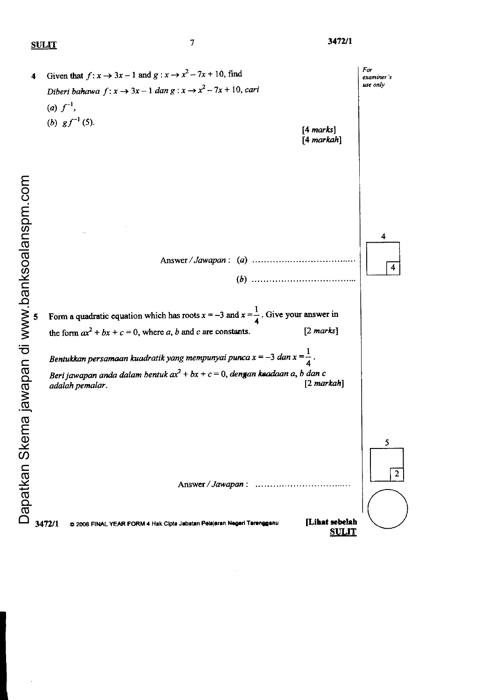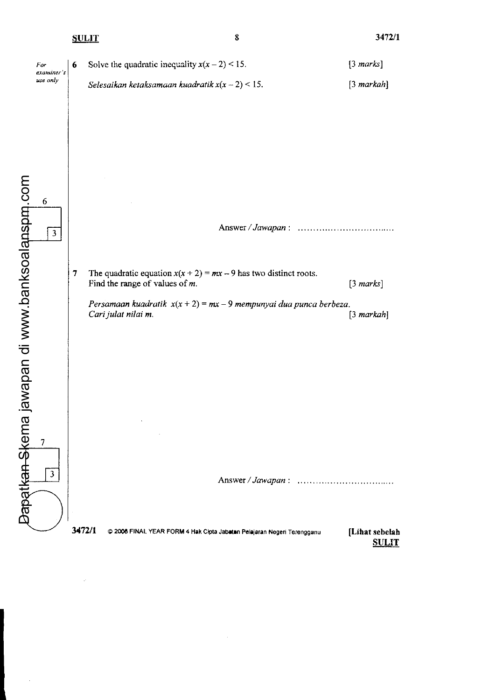8

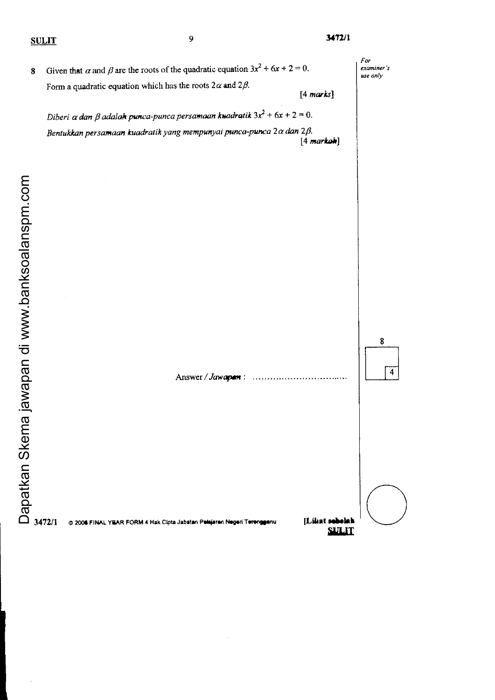| $\bf 8$ | Given that $\alpha$ and $\beta$ are the roots of the quadratic equation $3x^2 + 6x + 2 = 0$ .                                                                                 |                                | For<br>examiner's<br>use only |
|---------|-------------------------------------------------------------------------------------------------------------------------------------------------------------------------------|--------------------------------|-------------------------------|
|         | Form a quadratic equation which has the roots $2\alpha$ and $2\beta$ .                                                                                                        | [4 marks]                      |                               |
|         |                                                                                                                                                                               |                                |                               |
|         | Diberi $\alpha$ dan $\beta$ adalah punca-punca persamaan kwadratik $3x^2 + 6x + 2 = 0$ .<br>Bentukkan persamaan kuadratik yang mempunyai punca-punca $2\alpha$ dan $2\beta$ . |                                |                               |
|         |                                                                                                                                                                               | $[4$ markoh]                   |                               |
|         |                                                                                                                                                                               |                                |                               |
|         |                                                                                                                                                                               |                                |                               |
|         |                                                                                                                                                                               |                                |                               |
|         |                                                                                                                                                                               |                                |                               |
|         |                                                                                                                                                                               |                                |                               |
|         |                                                                                                                                                                               |                                |                               |
|         |                                                                                                                                                                               |                                |                               |
|         |                                                                                                                                                                               |                                |                               |
|         |                                                                                                                                                                               |                                |                               |
|         |                                                                                                                                                                               |                                |                               |
|         |                                                                                                                                                                               |                                | 8                             |
|         |                                                                                                                                                                               |                                |                               |
|         |                                                                                                                                                                               |                                |                               |
|         | Answer / Jawapan:<br>. <i>. . .</i>                                                                                                                                           |                                |                               |
|         |                                                                                                                                                                               |                                |                               |
|         |                                                                                                                                                                               |                                |                               |
|         |                                                                                                                                                                               |                                |                               |
|         |                                                                                                                                                                               |                                |                               |
|         |                                                                                                                                                                               |                                |                               |
|         |                                                                                                                                                                               |                                |                               |
|         |                                                                                                                                                                               |                                |                               |
|         | 3472/1<br>@ 2006 FINAL YEAR FORM 4 Hak Cipta Jabatan Pelejaran Negeri Terengganu                                                                                              | [Lihat sebelah<br><b>SULIT</b> |                               |

l,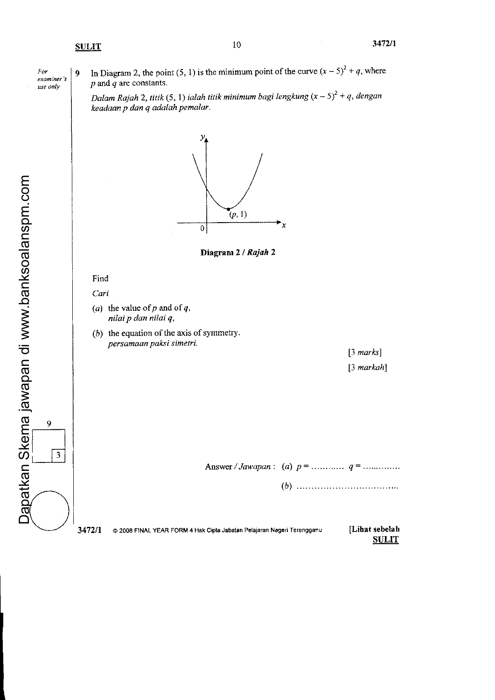$For$ exam.ner's use only

9 In Diagram 2, the point (5, 1) is the minimum point of the curve  $(x - 5)^2 + q$ , where  $p$  and  $q$  are constants.

Dalam Rajah 2, titik (5, 1) ialah titik minimum bagi lengkung  $(x - 5)^2 + q$ , dengan keadaan p dan q adalah pemalar.



3472/1 © 2008 FINAL YEAR FORM 4 Hak Cipta Jabatan Pelajaran Negeri Terengganu [Lihat sebelah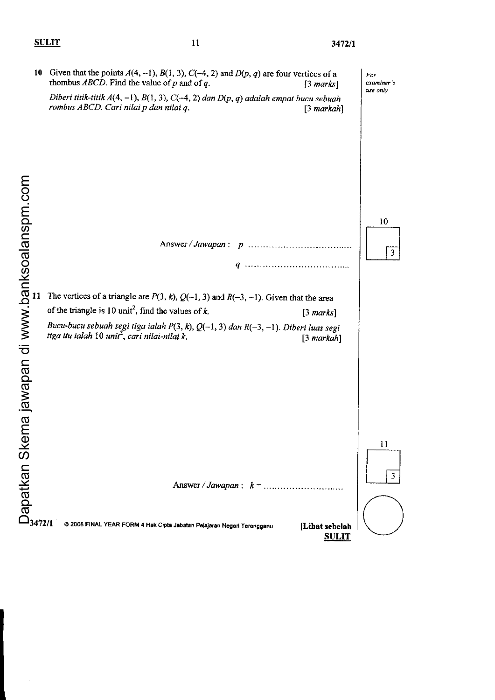I I

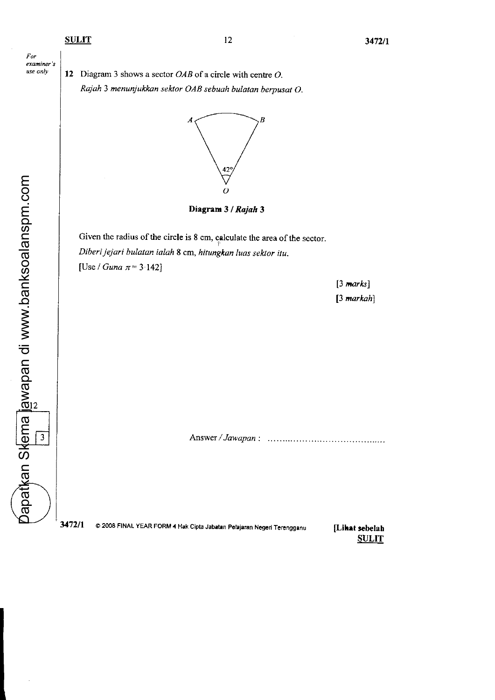

apatkan Skema jawapan di www.banksoalanspm.com Dapatkan Skema jawapan di www.banksoalanspm.com

I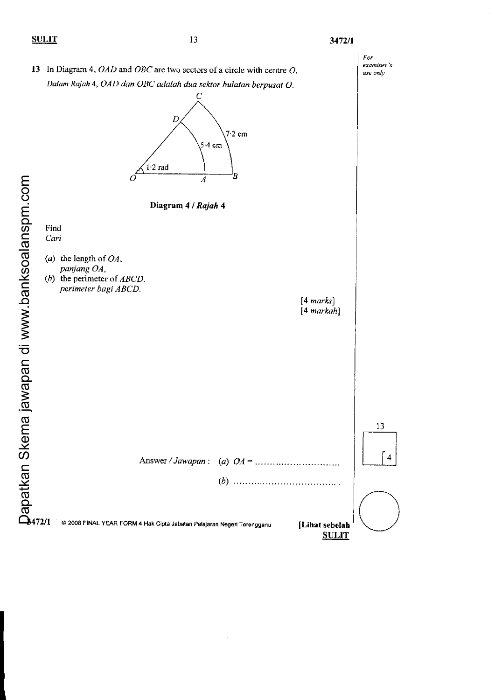## 3472/1

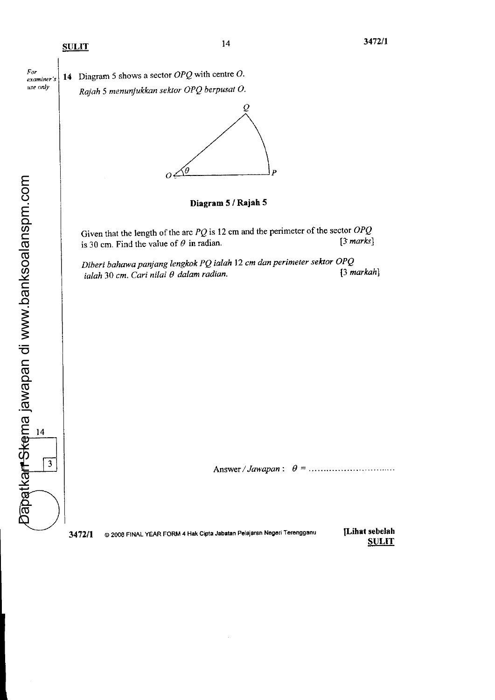For



Dapatkan S<del>ke</del>ma jawapan di www.banksoalanspm.com

 $\overline{3}$ 

Dapatkan Skema jawapan di www.banksoalanspm.com

3472/1 © 2008 FINAL YEAR FORM 4 Hak Cipta Jabatan Pelajaran Negeri Terengganu [Lihat sebelah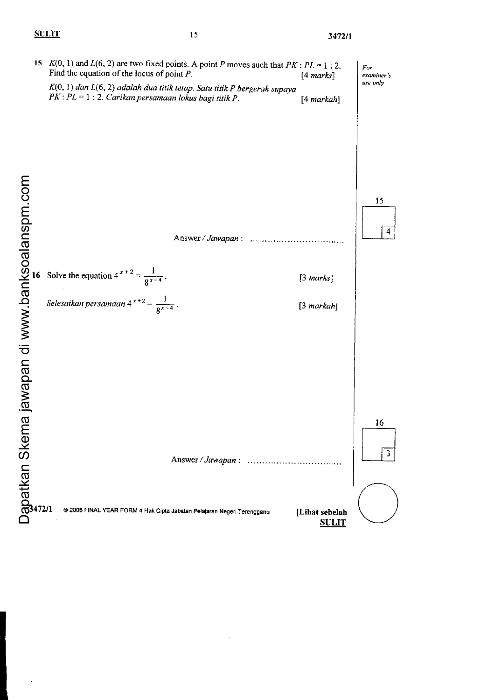# $\frac{15}{3472/1}$

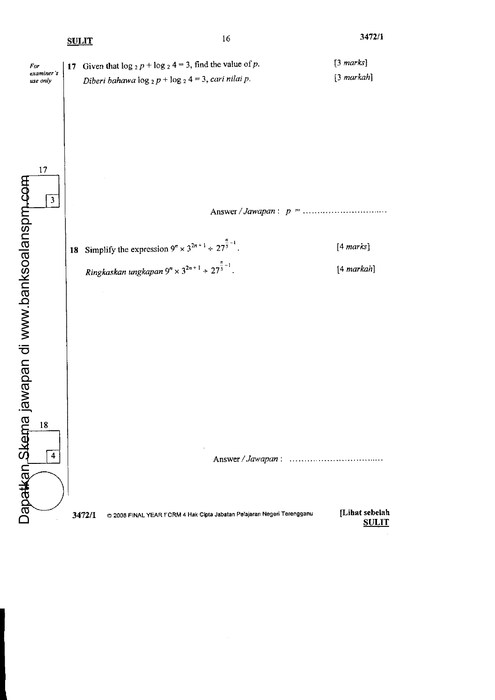|                                                               |                               | <b>SULIT</b> |                                                                                                                                                   | 16                | 3472/1                              |
|---------------------------------------------------------------|-------------------------------|--------------|---------------------------------------------------------------------------------------------------------------------------------------------------|-------------------|-------------------------------------|
| For                                                           | examiner's<br>use only        |              | 17 Given that $\log_2 p + \log_2 4 = 3$ , find the value of p.<br>Diberi bahawa $\log_2 p + \log_2 4 = 3$ , cari nilai p.                         |                   | $[3 \text{ marks}]$<br>$[3$ markah] |
|                                                               | 17<br>$\overline{\mathbf{3}}$ |              |                                                                                                                                                   |                   |                                     |
|                                                               |                               |              | 18 Simplify the expression $9^n \times 3^{2n+1} \div 27^{\frac{n}{3}-1}$ .<br>Ringkaskan ungkapan $9^n \times 3^{2n+1} \div 27^{\frac{n}{3}-1}$ . |                   | [4 marks]<br>[4 markah]             |
|                                                               |                               |              |                                                                                                                                                   |                   |                                     |
| Dapatkan,Skema jawapan di www.banksoalanspm <sub>i</sub> -com | 18                            |              |                                                                                                                                                   |                   |                                     |
|                                                               | $\overline{\mathbf{4}}$       |              |                                                                                                                                                   | Answer / Jawapan: |                                     |
|                                                               |                               |              | @ 2008 FINAL YEAR FORM 4 Hak Cipta Jabatan Pelajaran Negeri Terengganu<br>3472/1                                                                  |                   | [Lihat sebelah<br><b>SULIT</b>      |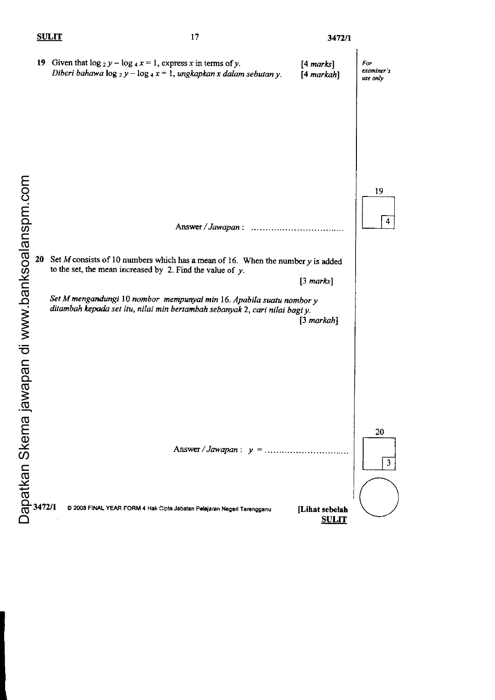# $3472/1$

 $\frac{1}{2}$ 

|                                        | 19 Given that $\log_2 y - \log_4 x = 1$ , express x in terms of y.<br>Diberi bahawa $\log_2 y - \log_4 x = 1$ , ungkapkan x dalam sebutan y.                                                                                                                                                                                    | [4 marks]<br>[4 markah]        | For<br>examiner's<br>use only |
|----------------------------------------|---------------------------------------------------------------------------------------------------------------------------------------------------------------------------------------------------------------------------------------------------------------------------------------------------------------------------------|--------------------------------|-------------------------------|
| jawapan di www.banksoalanspm.com<br>20 | Answer / Jawapan:<br>Set $M$ consists of 10 numbers which has a mean of 16. When the number $y$ is added<br>to the set, the mean increased by 2. Find the value of $y$ .<br>Set M mengandungi 10 nombor mempunyai min 16. Apabila suatu nombor y<br>ditambah kepada set itu, nilai min bertambah sebanyak 2, cari nilai bagi y. | $[3 \text{ marks}]$            | 19<br>4                       |
|                                        | Answer / Jawapan : $y =$                                                                                                                                                                                                                                                                                                        | $[3$ markah]                   | 20                            |
| Dapatkan Skema                         | 3472/1<br>C 2008 FINAL YEAR FORM 4 Hak Cipta Jabatan Pelajaran Negeri Terengganu                                                                                                                                                                                                                                                | [Lihat sebelah<br><b>SULIT</b> | $\mathbf{3}$                  |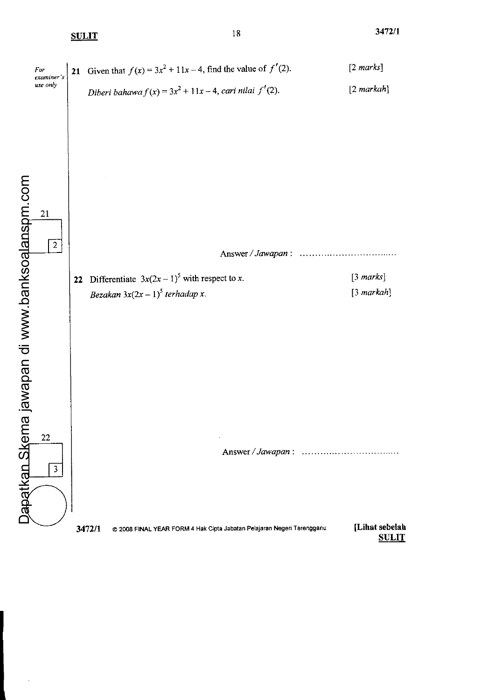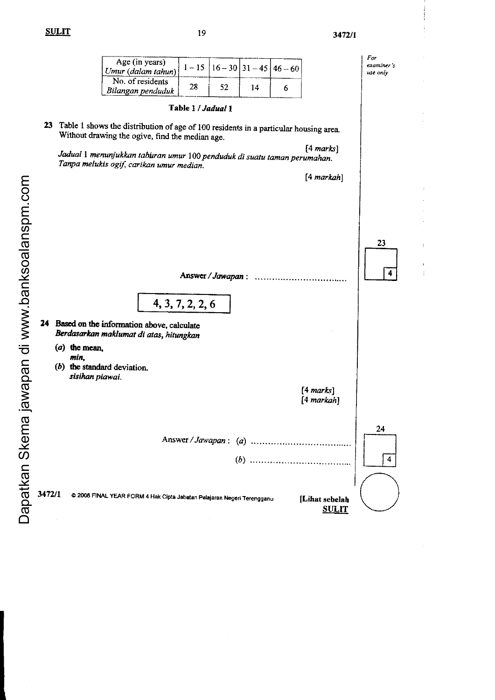$\it For$ examiner's use only

÷,

| Age (in years)<br>Umur (dalam tahun)  |    |    |    | $1-15$   $16-30$   $31-45$   $46-60$ |
|---------------------------------------|----|----|----|--------------------------------------|
| No. of residents<br>Bilangan penduduk | 28 | 52 | 14 |                                      |

#### Table 1 / Jadual 1

23 Table 1 shows the distribution of age of 100 residents in a particular housing area. Without drawing the ogive, find the median age.